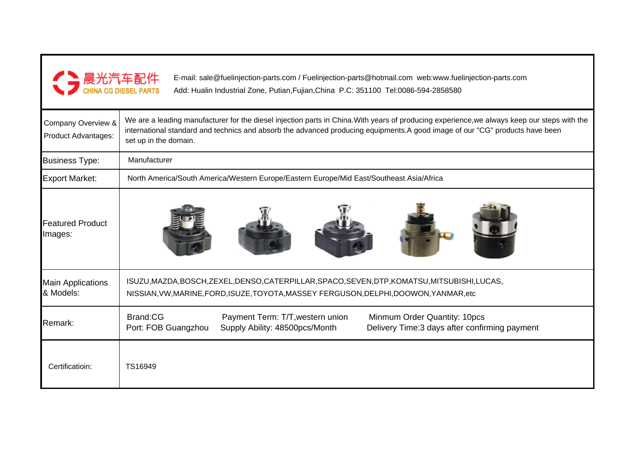

E-mail: sale@fuelinjection-parts.com / Fuelinjection-parts@hotmail.com web:www.fuelinjection-parts.comAdd: Hualin Industrial Zone, Putian,Fujian,China P.C: 351100 Tel:0086-594-2858580

| Company Overview &<br><b>Product Advantages:</b> | We are a leading manufacturer for the diesel injection parts in China. With years of producing experience, we always keep our steps with the<br>international standard and technics and absorb the advanced producing equipments.A good image of our "CG" products have been<br>set up in the domain. |
|--------------------------------------------------|-------------------------------------------------------------------------------------------------------------------------------------------------------------------------------------------------------------------------------------------------------------------------------------------------------|
| <b>Business Type:</b>                            | Manufacturer                                                                                                                                                                                                                                                                                          |
| <b>Export Market:</b>                            | North America/South America/Western Europe/Eastern Europe/Mid East/Southeast Asia/Africa                                                                                                                                                                                                              |
| <b>Featured Product</b><br>Images:               |                                                                                                                                                                                                                                                                                                       |
| <b>Main Applications</b><br>& Models:            | ISUZU, MAZDA, BOSCH, ZEXEL, DENSO, CATERPILLAR, SPACO, SEVEN, DTP, KOMATSU, MITSUBISHI, LUCAS,<br>NISSIAN, VW, MARINE, FORD, ISUZE, TOYOTA, MASSEY FERGUSON, DELPHI, DOOWON, YANMAR, etc                                                                                                              |
| Remark:                                          | Brand:CG<br>Payment Term: T/T, western union<br>Minmum Order Quantity: 10pcs<br>Port: FOB Guangzhou<br>Supply Ability: 48500pcs/Month<br>Delivery Time: 3 days after confirming payment                                                                                                               |
| Certificatioin:                                  | TS16949                                                                                                                                                                                                                                                                                               |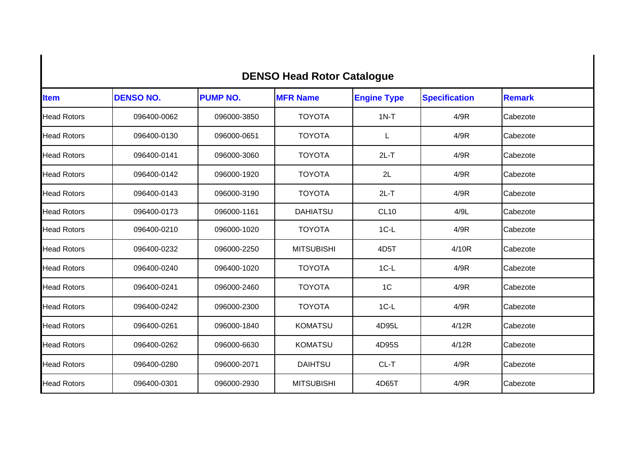|                    |                  | <b>DENSO Head Rotor Catalogue</b> |                   |                    |                      |               |
|--------------------|------------------|-----------------------------------|-------------------|--------------------|----------------------|---------------|
| <b>Item</b>        | <b>DENSO NO.</b> | <b>PUMP NO.</b>                   | <b>MFR Name</b>   | <b>Engine Type</b> | <b>Specification</b> | <b>Remark</b> |
| <b>Head Rotors</b> | 096400-0062      | 096000-3850                       | <b>TOYOTA</b>     | $1N-T$             | 4/9R                 | Cabezote      |
| <b>Head Rotors</b> | 096400-0130      | 096000-0651                       | <b>TOYOTA</b>     | L                  | 4/9R                 | Cabezote      |
| <b>Head Rotors</b> | 096400-0141      | 096000-3060                       | <b>TOYOTA</b>     | $2L-T$             | 4/9R                 | Cabezote      |
| <b>Head Rotors</b> | 096400-0142      | 096000-1920                       | <b>TOYOTA</b>     | 2L                 | 4/9R                 | Cabezote      |
| <b>Head Rotors</b> | 096400-0143      | 096000-3190                       | <b>TOYOTA</b>     | $2L-T$             | 4/9R                 | Cabezote      |
| <b>Head Rotors</b> | 096400-0173      | 096000-1161                       | <b>DAHIATSU</b>   | <b>CL10</b>        | 4/9L                 | Cabezote      |
| <b>Head Rotors</b> | 096400-0210      | 096000-1020                       | <b>TOYOTA</b>     | $1C-L$             | 4/9R                 | Cabezote      |
| <b>Head Rotors</b> | 096400-0232      | 096000-2250                       | <b>MITSUBISHI</b> | 4D <sub>5</sub> T  | 4/10R                | Cabezote      |
| <b>Head Rotors</b> | 096400-0240      | 096400-1020                       | <b>TOYOTA</b>     | $1C-L$             | 4/9R                 | Cabezote      |
| <b>Head Rotors</b> | 096400-0241      | 096000-2460                       | <b>TOYOTA</b>     | 1 <sup>C</sup>     | 4/9R                 | Cabezote      |
| <b>Head Rotors</b> | 096400-0242      | 096000-2300                       | <b>TOYOTA</b>     | $1C-L$             | 4/9R                 | Cabezote      |
| <b>Head Rotors</b> | 096400-0261      | 096000-1840                       | <b>KOMATSU</b>    | 4D95L              | 4/12R                | Cabezote      |
| <b>Head Rotors</b> | 096400-0262      | 096000-6630                       | <b>KOMATSU</b>    | 4D95S              | 4/12R                | Cabezote      |
| <b>Head Rotors</b> | 096400-0280      | 096000-2071                       | <b>DAIHTSU</b>    | CL-T               | 4/9R                 | Cabezote      |
| <b>Head Rotors</b> | 096400-0301      | 096000-2930                       | <b>MITSUBISHI</b> | 4D65T              | 4/9R                 | Cabezote      |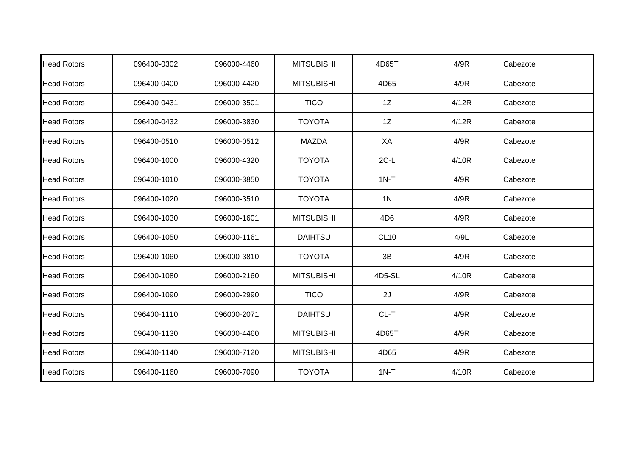| <b>Head Rotors</b> | 096400-0302 | 096000-4460 | <b>MITSUBISHI</b> | 4D65T           | 4/9R  | Cabezote |
|--------------------|-------------|-------------|-------------------|-----------------|-------|----------|
| <b>Head Rotors</b> | 096400-0400 | 096000-4420 | <b>MITSUBISHI</b> | 4D65            | 4/9R  | Cabezote |
| <b>Head Rotors</b> | 096400-0431 | 096000-3501 | <b>TICO</b>       | 1Z              | 4/12R | Cabezote |
| <b>Head Rotors</b> | 096400-0432 | 096000-3830 | <b>TOYOTA</b>     | 1Z              | 4/12R | Cabezote |
| <b>Head Rotors</b> | 096400-0510 | 096000-0512 | <b>MAZDA</b>      | XA              | 4/9R  | Cabezote |
| <b>Head Rotors</b> | 096400-1000 | 096000-4320 | <b>TOYOTA</b>     | $2C-L$          | 4/10R | Cabezote |
| <b>Head Rotors</b> | 096400-1010 | 096000-3850 | <b>TOYOTA</b>     | $1N-T$          | 4/9R  | Cabezote |
| <b>Head Rotors</b> | 096400-1020 | 096000-3510 | <b>TOYOTA</b>     | 1 <sub>N</sub>  | 4/9R  | Cabezote |
| <b>Head Rotors</b> | 096400-1030 | 096000-1601 | <b>MITSUBISHI</b> | 4D <sub>6</sub> | 4/9R  | Cabezote |
| <b>Head Rotors</b> | 096400-1050 | 096000-1161 | <b>DAIHTSU</b>    | <b>CL10</b>     | 4/9L  | Cabezote |
| <b>Head Rotors</b> | 096400-1060 | 096000-3810 | <b>TOYOTA</b>     | 3B              | 4/9R  | Cabezote |
| <b>Head Rotors</b> | 096400-1080 | 096000-2160 | <b>MITSUBISHI</b> | 4D5-SL          | 4/10R | Cabezote |
| <b>Head Rotors</b> | 096400-1090 | 096000-2990 | <b>TICO</b>       | 2J              | 4/9R  | Cabezote |
| <b>Head Rotors</b> | 096400-1110 | 096000-2071 | <b>DAIHTSU</b>    | CL-T            | 4/9R  | Cabezote |
| <b>Head Rotors</b> | 096400-1130 | 096000-4460 | <b>MITSUBISHI</b> | 4D65T           | 4/9R  | Cabezote |
| <b>Head Rotors</b> | 096400-1140 | 096000-7120 | <b>MITSUBISHI</b> | 4D65            | 4/9R  | Cabezote |
| <b>Head Rotors</b> | 096400-1160 | 096000-7090 | <b>TOYOTA</b>     | $1N-T$          | 4/10R | Cabezote |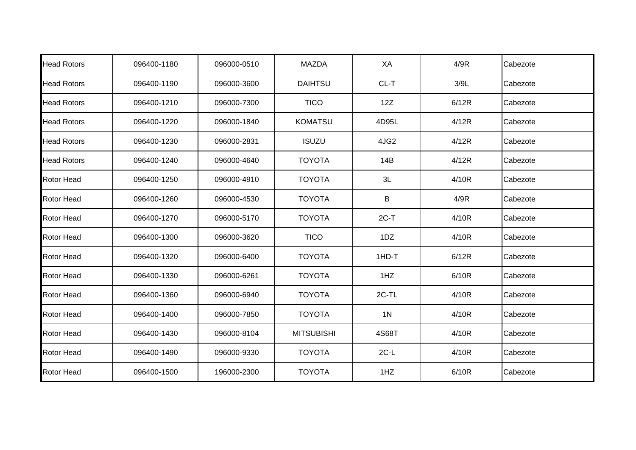| <b>Head Rotors</b> | 096400-1180 | 096000-0510 | <b>MAZDA</b>      | XA             | 4/9R  | Cabezote |
|--------------------|-------------|-------------|-------------------|----------------|-------|----------|
| <b>Head Rotors</b> | 096400-1190 | 096000-3600 | <b>DAIHTSU</b>    | CL-T           | 3/9L  | Cabezote |
| <b>Head Rotors</b> | 096400-1210 | 096000-7300 | <b>TICO</b>       | 12Z            | 6/12R | Cabezote |
| <b>Head Rotors</b> | 096400-1220 | 096000-1840 | <b>KOMATSU</b>    | 4D95L          | 4/12R | Cabezote |
| <b>Head Rotors</b> | 096400-1230 | 096000-2831 | <b>ISUZU</b>      | 4JG2           | 4/12R | Cabezote |
| <b>Head Rotors</b> | 096400-1240 | 096000-4640 | <b>TOYOTA</b>     | 14B            | 4/12R | Cabezote |
| <b>Rotor Head</b>  | 096400-1250 | 096000-4910 | <b>TOYOTA</b>     | 3L             | 4/10R | Cabezote |
| <b>Rotor Head</b>  | 096400-1260 | 096000-4530 | <b>TOYOTA</b>     | B              | 4/9R  | Cabezote |
| <b>Rotor Head</b>  | 096400-1270 | 096000-5170 | <b>TOYOTA</b>     | $2C-T$         | 4/10R | Cabezote |
| <b>Rotor Head</b>  | 096400-1300 | 096000-3620 | <b>TICO</b>       | 1DZ            | 4/10R | Cabezote |
| <b>Rotor Head</b>  | 096400-1320 | 096000-6400 | <b>TOYOTA</b>     | 1HD-T          | 6/12R | Cabezote |
| <b>Rotor Head</b>  | 096400-1330 | 096000-6261 | <b>TOYOTA</b>     | 1HZ            | 6/10R | Cabezote |
| Rotor Head         | 096400-1360 | 096000-6940 | <b>TOYOTA</b>     | 2C-TL          | 4/10R | Cabezote |
| <b>Rotor Head</b>  | 096400-1400 | 096000-7850 | <b>TOYOTA</b>     | 1 <sub>N</sub> | 4/10R | Cabezote |
| <b>Rotor Head</b>  | 096400-1430 | 096000-8104 | <b>MITSUBISHI</b> | 4S68T          | 4/10R | Cabezote |
| <b>Rotor Head</b>  | 096400-1490 | 096000-9330 | <b>TOYOTA</b>     | $2C-L$         | 4/10R | Cabezote |
| <b>Rotor Head</b>  | 096400-1500 | 196000-2300 | <b>TOYOTA</b>     | 1HZ            | 6/10R | Cabezote |